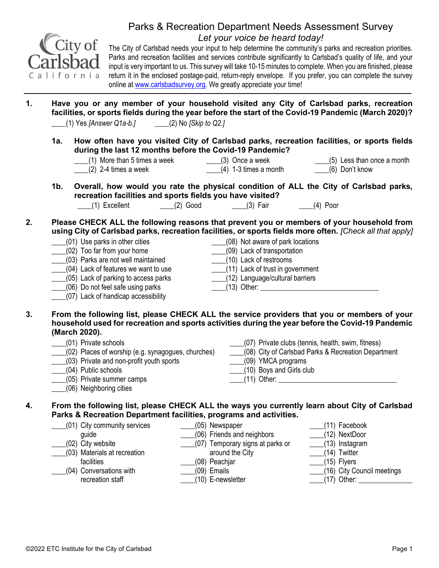

## Parks & Recreation Department Needs Assessment Survey Let your voice be heard today!

The City of Carlsbad needs your input to help determine the community's parks and recreation priorities. Parks and recreation facilities and services contribute significantly to Carlsbad's quality of life, and your input is very important to us. This survey will take 10-15 minutes to complete. When you are finished, please return it in the enclosed postage-paid, return-reply envelope. If you prefer, you can complete the survey online at www.carlsbadsurvey.org. We greatly appreciate your time!

- 1. Have you or any member of your household visited any City of Carlsbad parks, recreation facilities, or sports fields during the year before the start of the Covid-19 Pandemic (March 2020)?  $\frac{1}{2}$  (1) Yes [Answer Q1a-b.]  $\qquad \qquad$  (2) No [Skip to Q2.]
	- 1a. How often have you visited City of Carlsbad parks, recreation facilities, or sports fields during the last 12 months before the Covid-19 Pandemic?
		- \_\_\_\_(1) More than 5 times a week \_\_\_\_(3) Once a week  $(2)$  2-4 times a week \_\_\_\_(4) 1-3 times a month \_\_\_\_(6) Don't know
- \_\_\_\_(5) Less than once a month
	- 1b. Overall, how would you rate the physical condition of ALL the City of Carlsbad parks, recreation facilities and sports fields you have visited? \_\_\_\_(1) Excellent \_\_\_\_(2) Good \_\_\_\_(3) Fair \_\_\_\_(4) Poor
- 2. Please CHECK ALL the following reasons that prevent you or members of your household from using City of Carlsbad parks, recreation facilities, or sports fields more often. [Check all that apply]

| (01) Use parks in other cities       | (08) Not aware of park locations |  |
|--------------------------------------|----------------------------------|--|
| (02) Too far from your home          | (09) Lack of transportation      |  |
| (03) Parks are not well maintained   | (10) Lack of restrooms           |  |
| (04) Lack of features we want to use | (11) Lack of trust in government |  |
| (05) Lack of parking to access parks | (12) Language/cultural barriers  |  |
| (06) Do not feel safe using parks    | $(13)$ Other:                    |  |
| (07) Lack of handicap accessibility  |                                  |  |

- 3. From the following list, please CHECK ALL the service providers that you or members of your household used for recreation and sports activities during the year before the Covid-19 Pandemic (March 2020).
	- \_\_\_\_(01) Private schools \_\_\_\_(02) Places of worship (e.g. synagogues, churches)

\_\_\_\_(04) Public schools

\_\_\_\_(06) Neighboring cities

\_\_\_\_(05) Private summer camps

\_\_\_\_(03) Private and non-profit youth sports

- \_\_\_\_(07) Private clubs (tennis, health, swim, fitness)
- \_\_\_\_(08) City of Carlsbad Parks & Recreation Department
- \_\_\_\_(09) YMCA programs
- \_\_\_\_(10) Boys and Girls club
- $(11)$  Other:

## 4. From the following list, please CHECK ALL the ways you currently learn about City of Carlsbad Parks & Recreation Department facilities, programs and activities.

\_\_\_\_(01) City community services guide \_\_\_\_(02) City website \_\_\_\_(03) Materials at recreation facilities \_\_\_\_(05) Newspaper \_\_\_\_(06) Friends and neighbors \_\_\_\_(07) Temporary signs at parks or around the City \_\_\_\_(08) Peachjar

- \_\_\_\_(04) Conversations with recreation staff
- 
- \_\_\_\_(09) Emails
- \_\_\_\_(10) E-newsletter
- \_\_\_\_(11) Facebook
- \_\_\_\_(12) NextDoor
	- \_\_\_\_(13) Instagram
- \_\_\_\_(14) Twitter
- \_\_\_\_(15) Flyers
- \_\_\_\_(16) City Council meetings
- $(17)$  Other: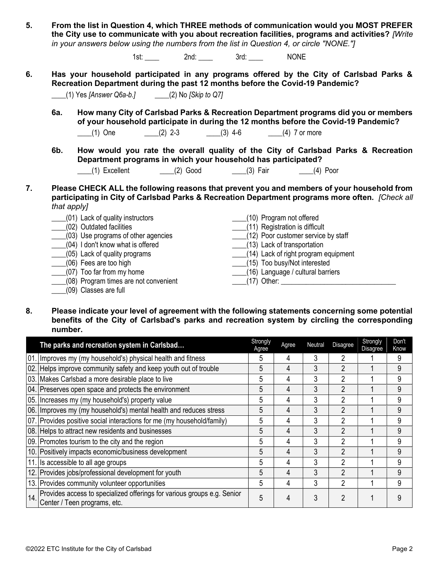|    |             |                                                                                                                           |                         | in your answers below using the numbers from the list in Question 4, or circle "NONE."                                                                                                                              | the City use to communicate with you about recreation facilities, programs and activities? [Write |
|----|-------------|---------------------------------------------------------------------------------------------------------------------------|-------------------------|---------------------------------------------------------------------------------------------------------------------------------------------------------------------------------------------------------------------|---------------------------------------------------------------------------------------------------|
|    |             |                                                                                                                           | 1st: 2nd: 2nd: 3rd: 3ml | <b>NONE</b>                                                                                                                                                                                                         |                                                                                                   |
| 6. |             | (1) Yes [Answer Q6a-b.] (2) No [Skip to Q7]                                                                               |                         | Has your household participated in any programs offered by the City of Carlsbad Parks &<br>Recreation Department during the past 12 months before the Covid-19 Pandemic?                                            |                                                                                                   |
|    | 6а.         |                                                                                                                           |                         | How many City of Carlsbad Parks & Recreation Department programs did you or members<br>of your household participate in during the 12 months before the Covid-19 Pandemic?<br>(1) One (2) 2-3 (3) 4-6 (4) 7 or more |                                                                                                   |
|    | 6b.         |                                                                                                                           |                         | How would you rate the overall quality of the City of Carlsbad Parks & Recreation<br>Department programs in which your household has participated?<br>(1) Excellent _______(2) Good _______(3) Fair _______(4) Poor |                                                                                                   |
| 7. | that apply] |                                                                                                                           |                         | Please CHECK ALL the following reasons that prevent you and members of your household from<br>participating in City of Carlsbad Parks & Recreation Department programs more often. [Check all                       |                                                                                                   |
|    |             | (01) Lack of quality instructors<br>(02) Outdated facilities<br>(03) Use programs of other agencies                       |                         | (10) Program not offered<br>(11) Registration is difficult<br>(12) Poor customer service by staff                                                                                                                   |                                                                                                   |
|    |             | (04) I don't know what is offered<br>(05) Lack of quality programs<br>(06) Fees are too high<br>(07) Too far from my home |                         | (13) Lack of transportation<br>(14) Lack of right program equipment<br>(15) Too busy/Not interested<br>(16) Language / cultural barriers                                                                            |                                                                                                   |

5. From the list in Question 4, which THREE methods of communication would you MOST PREFER

- \_\_\_\_(17) Other: \_\_\_\_\_\_\_\_\_\_\_\_\_\_\_\_\_\_\_\_\_\_\_\_\_\_\_\_\_\_\_\_
- \_\_\_\_(08) Program times are not convenient \_\_\_\_(09) Classes are full
	- 8. Please indicate your level of agreement with the following statements concerning some potential benefits of the City of Carlsbad's parks and recreation system by circling the corresponding number.

|     | The parks and recreation system in Carlsbad                                                             |   | Agree | Neutral | <b>Disagree</b> | Strongly<br><b>Disagree</b> | Don't<br>Know |
|-----|---------------------------------------------------------------------------------------------------------|---|-------|---------|-----------------|-----------------------------|---------------|
|     | 01. Improves my (my household's) physical health and fitness                                            | 5 | 4     | 3       |                 |                             |               |
|     | 02. Helps improve community safety and keep youth out of trouble                                        | 5 | 4     | 3       | 2               |                             | 9             |
|     | 03. Makes Carlsbad a more desirable place to live                                                       | 5 | 4     | 3       | 2               |                             | 9             |
|     | 04. Preserves open space and protects the environment                                                   | 5 | 4     | 3       | 2               |                             | 9             |
|     | 05. Increases my (my household's) property value                                                        |   | 4     | 3       | 2               |                             | 9             |
|     | 06. Improves my (my household's) mental health and reduces stress                                       |   | 4     | 3       | 2               |                             | 9             |
|     | 07. Provides positive social interactions for me (my household/family)                                  |   | 4     | 3       | 2               |                             | 9             |
|     | 08. Helps to attract new residents and businesses                                                       |   | 4     | 3       | 2               |                             | 9             |
|     | 09. Promotes tourism to the city and the region                                                         |   | 4     | 3       | 2               |                             | 9             |
|     | 10. Positively impacts economic/business development                                                    | 5 | 4     | 3       | $\mathfrak{p}$  |                             | 9             |
|     | 11. Is accessible to all age groups                                                                     | 5 | 4     | 3       | 2               |                             | 9             |
|     | 12. Provides jobs/professional development for youth                                                    |   | 4     | 3       | $\mathfrak{D}$  |                             | 9             |
|     | 13. Provides community volunteer opportunities                                                          |   | 4     | 3       | 2               |                             | 9             |
| 14. | Provides access to specialized offerings for various groups e.g. Senior<br>Center / Teen programs, etc. | 5 | 4     | 3       | ŋ               |                             | 9             |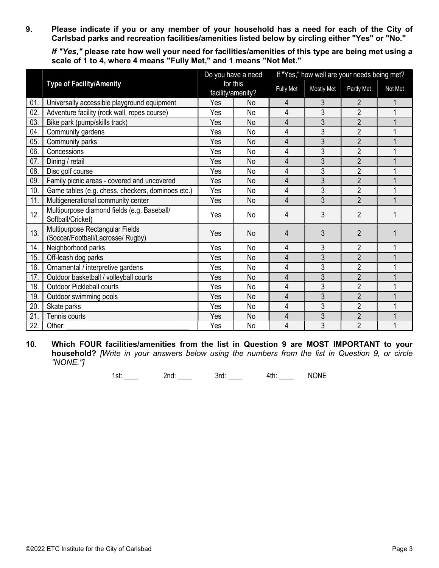9. Please indicate if you or any member of your household has a need for each of the City of Carlsbad parks and recreation facilities/amenities listed below by circling either "Yes" or "No."

If "Yes," please rate how well your need for facilities/amenities of this type are being met using a scale of 1 to 4, where 4 means "Fully Met," and 1 means "Not Met."

|     |                                                                      | Do you have a need |                               | If "Yes," how well are your needs being met? |                   |                |         |  |
|-----|----------------------------------------------------------------------|--------------------|-------------------------------|----------------------------------------------|-------------------|----------------|---------|--|
|     | <b>Type of Facility/Amenity</b>                                      |                    | for this<br>facility/amenity? |                                              | <b>Mostly Met</b> | Partly Met     | Not Met |  |
| 01. | Universally accessible playground equipment                          | Yes                | <b>No</b>                     | 4                                            | 3                 | 2              |         |  |
| 02. | Adventure facility (rock wall, ropes course)                         | Yes                | No                            | 4                                            | 3                 | $\overline{2}$ |         |  |
| 03. | Bike park (pump/skills track)                                        | Yes                | No                            | 4                                            | 3                 | $\overline{2}$ |         |  |
| 04. | Community gardens                                                    | Yes                | <b>No</b>                     | 4                                            | 3                 | $\overline{2}$ |         |  |
| 05. | Community parks                                                      | Yes                | <b>No</b>                     | 4                                            | 3                 | $\overline{2}$ |         |  |
| 06. | Concessions                                                          | Yes                | <b>No</b>                     | 4                                            | 3                 | $\overline{2}$ |         |  |
| 07. | Dining / retail                                                      | Yes                | <b>No</b>                     | 4                                            | 3                 | $\overline{2}$ |         |  |
| 08. | Disc golf course                                                     | Yes                | <b>No</b>                     | 4                                            | 3                 | $\overline{2}$ |         |  |
| 09. | Family picnic areas - covered and uncovered                          | Yes                | <b>No</b>                     | 4                                            | 3                 | $\overline{2}$ |         |  |
| 10. | Game tables (e.g. chess, checkers, dominoes etc.)                    | Yes                | <b>No</b>                     | 4                                            | 3                 | $\overline{2}$ |         |  |
| 11. | Multigenerational community center                                   | Yes                | <b>No</b>                     | $\overline{4}$                               | 3                 | $\overline{2}$ |         |  |
| 12. | Multipurpose diamond fields (e.g. Baseball/<br>Softball/Cricket)     | Yes                | No                            | 4                                            | 3                 | $\overline{2}$ |         |  |
| 13. | Multipurpose Rectangular Fields<br>(Soccer/Football/Lacrosse/ Rugby) | Yes                | <b>No</b>                     | 4                                            | 3                 | $\overline{2}$ |         |  |
| 14. | Neighborhood parks                                                   | Yes                | <b>No</b>                     | 4                                            | 3                 | $\overline{2}$ |         |  |
| 15. | Off-leash dog parks                                                  | Yes                | <b>No</b>                     | 4                                            | 3                 | $\overline{2}$ |         |  |
| 16. | Ornamental / interpretive gardens                                    | Yes                | <b>No</b>                     | 4                                            | 3                 | $\overline{2}$ |         |  |
| 17. | Outdoor basketball / volleyball courts                               | Yes                | <b>No</b>                     | 4                                            | 3                 | $\overline{2}$ |         |  |
| 18. | <b>Outdoor Pickleball courts</b>                                     | Yes                | <b>No</b>                     | 4                                            | 3                 | $\overline{2}$ |         |  |
| 19. | Outdoor swimming pools                                               | Yes                | <b>No</b>                     | 4                                            | 3                 | $\overline{2}$ |         |  |
| 20. | Skate parks                                                          | Yes                | <b>No</b>                     | 4                                            | 3                 | $\overline{2}$ |         |  |
| 21. | Tennis courts                                                        | Yes                | <b>No</b>                     | 4                                            | 3                 | $\overline{2}$ |         |  |
| 22. | Other:                                                               | Yes                | <b>No</b>                     | 4                                            | 3                 | $\overline{2}$ |         |  |

10. Which FOUR facilities/amenities from the list in Question 9 are MOST IMPORTANT to your household? [Write in your answers below using the numbers from the list in Question 9, or circle "NONE."]

1st: \_\_\_\_ 2nd: \_\_\_ 3rd: \_\_\_ 4th: NONE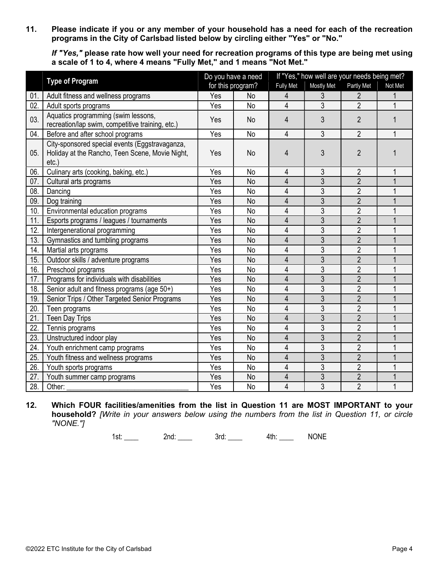11. Please indicate if you or any member of your household has a need for each of the recreation programs in the City of Carlsbad listed below by circling either "Yes" or "No."

If "Yes," please rate how well your need for recreation programs of this type are being met using a scale of 1 to 4, where 4 means "Fully Met," and 1 means "Not Met."

|     |                                                                                                               |     | Do you have a need |                  | If "Yes," how well are your needs being met? |                |         |  |  |
|-----|---------------------------------------------------------------------------------------------------------------|-----|--------------------|------------------|----------------------------------------------|----------------|---------|--|--|
|     | <b>Type of Program</b>                                                                                        |     | for this program?  | <b>Fully Met</b> | Mostly Met                                   | Partly Met     | Not Met |  |  |
| 01. | Adult fitness and wellness programs                                                                           | Yes | <b>No</b>          | 4                | 3                                            | $\overline{2}$ |         |  |  |
| 02. | Adult sports programs                                                                                         | Yes | No                 | 4                | $\overline{3}$                               | $\overline{2}$ |         |  |  |
| 03. | Aquatics programming (swim lessons,<br>recreation/lap swim, competitive training, etc.)                       | Yes | No                 | 4                | 3                                            | $\overline{2}$ |         |  |  |
| 04. | Before and after school programs                                                                              | Yes | <b>No</b>          | $\overline{4}$   | 3                                            | $\overline{2}$ | 1       |  |  |
| 05. | City-sponsored special events (Eggstravaganza,<br>Holiday at the Rancho, Teen Scene, Movie Night,<br>$etc.$ ) | Yes | <b>No</b>          | 4                | 3                                            | $\overline{2}$ |         |  |  |
| 06. | Culinary arts (cooking, baking, etc.)                                                                         | Yes | No                 | 4                | 3                                            | $\overline{2}$ |         |  |  |
| 07. | Cultural arts programs                                                                                        | Yes | <b>No</b>          | 4                | $\overline{3}$                               | $\overline{2}$ |         |  |  |
| 08. | Dancing                                                                                                       | Yes | <b>No</b>          | 4                | 3                                            | $\overline{2}$ |         |  |  |
| 09. | Dog training                                                                                                  | Yes | <b>No</b>          | 4                | $\overline{3}$                               | $\overline{2}$ |         |  |  |
| 10. | Environmental education programs                                                                              | Yes | <b>No</b>          | 4                | 3                                            | $\overline{2}$ |         |  |  |
| 11. | Esports programs / leagues / tournaments                                                                      | Yes | <b>No</b>          | 4                | $\overline{3}$                               | $\overline{2}$ |         |  |  |
| 12. | Intergenerational programming                                                                                 | Yes | <b>No</b>          | 4                | 3                                            | $\overline{2}$ |         |  |  |
| 13. | Gymnastics and tumbling programs                                                                              | Yes | <b>No</b>          | 4                | $\overline{3}$                               | $\overline{2}$ |         |  |  |
| 14. | Martial arts programs                                                                                         | Yes | <b>No</b>          | 4                | 3                                            | $\overline{2}$ |         |  |  |
| 15. | Outdoor skills / adventure programs                                                                           | Yes | <b>No</b>          | 4                | 3                                            | $\overline{2}$ |         |  |  |
| 16. | Preschool programs                                                                                            | Yes | No                 | 4                | 3                                            | $\overline{2}$ |         |  |  |
| 17. | Programs for individuals with disabilities                                                                    | Yes | <b>No</b>          | 4                | $\overline{3}$                               | $\overline{2}$ |         |  |  |
| 18. | Senior adult and fitness programs (age 50+)                                                                   | Yes | <b>No</b>          | 4                | 3                                            | $\overline{2}$ |         |  |  |
| 19. | Senior Trips / Other Targeted Senior Programs                                                                 | Yes | <b>No</b>          | $\overline{4}$   | $\overline{3}$                               | $\overline{2}$ |         |  |  |
| 20. | Teen programs                                                                                                 | Yes | No                 | 4                | 3                                            | $\overline{2}$ |         |  |  |
| 21. | <b>Teen Day Trips</b>                                                                                         | Yes | <b>No</b>          | 4                | 3                                            | $\overline{2}$ |         |  |  |
| 22. | Tennis programs                                                                                               | Yes | No                 | 4                | 3                                            | $\overline{2}$ |         |  |  |
| 23. | Unstructured indoor play                                                                                      | Yes | <b>No</b>          | $\overline{4}$   | 3                                            | $\overline{2}$ |         |  |  |
| 24. | Youth enrichment camp programs                                                                                | Yes | <b>No</b>          | 4                | $\overline{3}$                               | $\overline{2}$ |         |  |  |
| 25. | Youth fitness and wellness programs                                                                           |     | <b>No</b>          | 4                | $\overline{3}$                               | $\overline{2}$ |         |  |  |
| 26. | Youth sports programs                                                                                         | Yes | No                 | 4                | 3                                            | $\overline{2}$ |         |  |  |
| 27. | Youth summer camp programs                                                                                    | Yes | <b>No</b>          | 4                | 3                                            | $\overline{2}$ |         |  |  |
| 28. | Other:                                                                                                        | Yes | No                 | $\overline{4}$   | $\overline{3}$                               | $\overline{2}$ | 1       |  |  |

12. Which FOUR facilities/amenities from the list in Question 11 are MOST IMPORTANT to your household? [Write in your answers below using the numbers from the list in Question 11, or circle "NONE."]

1st: \_\_\_\_ 2nd: \_\_\_ 3rd: \_\_\_ 4th: \_\_\_ NONE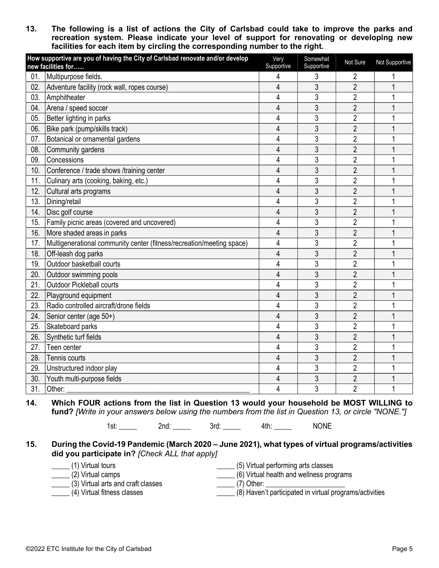13. The following is a list of actions the City of Carlsbad could take to improve the parks and recreation system. Please indicate your level of support for renovating or developing new facilities for each item by circling the corresponding number to the right.

|     | How supportive are you of having the City of Carlsbad renovate and/or develop<br>new facilities for | Very<br>Supportive | Somewhat<br>Supportive | Not Sure       | Not Supportive |
|-----|-----------------------------------------------------------------------------------------------------|--------------------|------------------------|----------------|----------------|
| 01. | Multipurpose fields.                                                                                | 4                  | 3                      | 2              |                |
| 02. | Adventure facility (rock wall, ropes course)                                                        | 4                  | 3                      | $\overline{2}$ | 1              |
| 03. | Amphitheater                                                                                        | 4                  | 3                      | $\overline{2}$ |                |
| 04. | Arena / speed soccer                                                                                | 4                  | 3                      | $\overline{2}$ |                |
| 05. | Better lighting in parks                                                                            | 4                  | 3                      | $\overline{2}$ |                |
| 06. | Bike park (pump/skills track)                                                                       | $\overline{4}$     | 3                      | $\overline{2}$ |                |
| 07. | Botanical or ornamental gardens                                                                     | 4                  | 3                      | $\overline{2}$ |                |
| 08. | Community gardens                                                                                   | 4                  | 3                      | $\overline{2}$ |                |
| 09. | Concessions                                                                                         | 4                  | 3                      | $\overline{2}$ |                |
| 10. | Conference / trade shows /training center                                                           | $\overline{4}$     | 3                      | $\overline{2}$ |                |
| 11. | Culinary arts (cooking, baking, etc.)                                                               | 4                  | 3                      | $\overline{2}$ |                |
| 12. | Cultural arts programs                                                                              | 4                  | 3                      | $\overline{2}$ |                |
| 13. | Dining/retail                                                                                       | 4                  | 3                      | $\overline{2}$ |                |
| 14. | Disc golf course                                                                                    | 4                  | $\overline{3}$         | $\overline{2}$ |                |
| 15. | Family picnic areas (covered and uncovered)                                                         | 4                  | 3                      | $\overline{2}$ |                |
| 16. | More shaded areas in parks                                                                          | $\overline{4}$     | 3                      | $\overline{2}$ |                |
| 17. | Multigenerational community center (fitness/recreation/meeting space)                               | 4                  | 3                      | $\overline{2}$ |                |
| 18. | Off-leash dog parks                                                                                 | 4                  | 3                      | $\overline{2}$ |                |
| 19. | Outdoor basketball courts                                                                           | 4                  | 3                      | $\overline{2}$ |                |
| 20. | Outdoor swimming pools                                                                              | 4                  | 3                      | $\overline{2}$ |                |
| 21. | <b>Outdoor Pickleball courts</b>                                                                    | 4                  | 3                      | $\overline{2}$ |                |
| 22. | Playground equipment                                                                                | 4                  | 3                      | $\overline{2}$ |                |
| 23. | Radio controlled aircraft/drone fields                                                              | 4                  | 3                      | $\overline{2}$ |                |
| 24. | Senior center (age 50+)                                                                             | 4                  | 3                      | $\overline{2}$ |                |
| 25. | Skateboard parks                                                                                    | 4                  | 3                      | $\overline{2}$ |                |
| 26. | Synthetic turf fields                                                                               | 4                  | 3                      | $\overline{2}$ |                |
| 27. | Teen center                                                                                         | 4                  | 3                      | $\overline{2}$ |                |
| 28. | Tennis courts                                                                                       | $\overline{4}$     | 3                      | $\overline{2}$ |                |
| 29. | Unstructured indoor play                                                                            | 4                  | 3                      | $\overline{2}$ |                |
| 30. | Youth multi-purpose fields                                                                          | 4                  | 3                      | $\overline{2}$ |                |
| 31. | Other:                                                                                              | 4                  | 3                      | $\overline{2}$ |                |

14. Which FOUR actions from the list in Question 13 would your household be MOST WILLING to fund? [Write in your answers below using the numbers from the list in Question 13, or circle "NONE."]

1st: 2nd: 2nd: 3rd: 4th: NONE

15. During the Covid-19 Pandemic (March 2020 – June 2021), what types of virtual programs/activities did you participate in? [Check ALL that apply]

- \_\_\_\_\_ (1) Virtual tours
- $(2)$  Virtual camps
- \_\_\_\_\_ (5) Virtual performing arts classes
- \_\_\_\_\_ (6) Virtual health and wellness programs
- \_\_\_\_\_ (3) Virtual arts and craft classes
- \_\_\_\_\_\_ (7) Other: \_\_\_

\_\_\_\_\_ (4) Virtual fitness classes

\_\_\_\_\_ (8) Haven't participated in virtual programs/activities